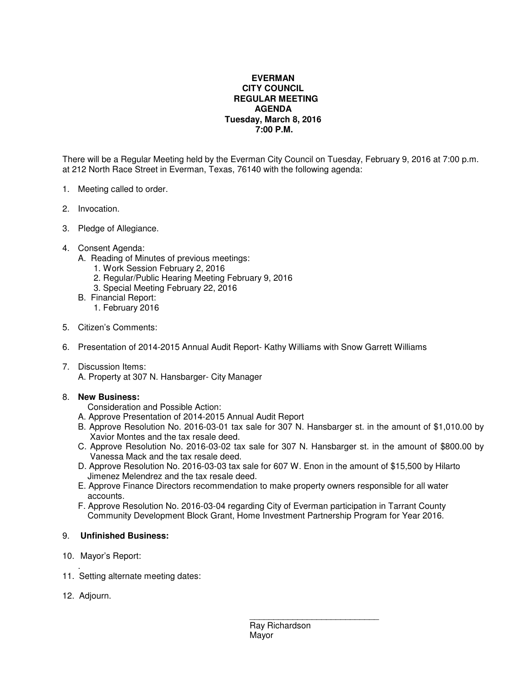## **EVERMAN CITY COUNCIL REGULAR MEETING AGENDA Tuesday, March 8, 2016 7:00 P.M.**

There will be a Regular Meeting held by the Everman City Council on Tuesday, February 9, 2016 at 7:00 p.m. at 212 North Race Street in Everman, Texas, 76140 with the following agenda:

- 1. Meeting called to order.
- 2. Invocation.
- 3. Pledge of Allegiance.
- 4. Consent Agenda:
	- A. Reading of Minutes of previous meetings:
		- 1. Work Session February 2, 2016
		- 2. Regular/Public Hearing Meeting February 9, 2016
		- 3. Special Meeting February 22, 2016
	- B. Financial Report:
		- 1. February 2016
- 5. Citizen's Comments:
- 6. Presentation of 2014-2015 Annual Audit Report- Kathy Williams with Snow Garrett Williams
- 7. Discussion Items: A. Property at 307 N. Hansbarger- City Manager

## 8. **New Business:**

Consideration and Possible Action:

- A. Approve Presentation of 2014-2015 Annual Audit Report
- B. Approve Resolution No. 2016-03-01 tax sale for 307 N. Hansbarger st. in the amount of \$1,010.00 by Xavior Montes and the tax resale deed.
- C. Approve Resolution No. 2016-03-02 tax sale for 307 N. Hansbarger st. in the amount of \$800.00 by Vanessa Mack and the tax resale deed.
- D. Approve Resolution No. 2016-03-03 tax sale for 607 W. Enon in the amount of \$15,500 by Hilarto Jimenez Melendrez and the tax resale deed.
- E. Approve Finance Directors recommendation to make property owners responsible for all water accounts.
- F. Approve Resolution No. 2016-03-04 regarding City of Everman participation in Tarrant County Community Development Block Grant, Home Investment Partnership Program for Year 2016.

## 9. **Unfinished Business:**

- 10. Mayor's Report:
- . 11. Setting alternate meeting dates:
- 12. Adjourn.